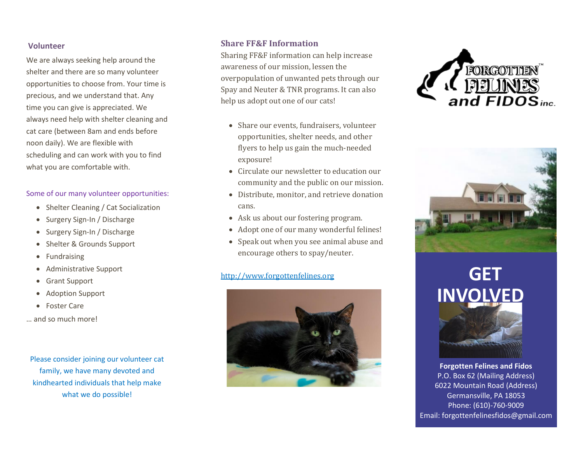## **Volunteer**

We are always seeking help around the shelter and there are so many volunteer opportunities to choose from. Your time is precious, and we understand that. Any time you can give is appreciated. We always need help with shelter cleaning and cat care (between 8am and ends before noon daily). We are flexible with scheduling and can work with you to find what you are comfortable with.

## Some of our many volunteer opportunities:

- Shelter Cleaning / Cat Socialization
- Surgery Sign-In / Discharge
- Surgery Sign-In / Discharge
- Shelter & Grounds Support
- **Fundraising**
- Administrative Support
- Grant Support
- Adoption Support
- Foster Care
- … and so much more!

Please consider joining our volunteer cat family, we have many devoted and kindhearted individuals that help make what we do possible!

# **Share FF&F Information**

Sharing FF&F information can help increase awareness of our mission, lessen the overpopulation of unwanted pets through our Spay and Neuter & TNR programs. It can also help us adopt out one of our cats!

- Share our events, fundraisers, volunteer opportunities, shelter needs, and other flyers to help us gain the much-needed exposure!
- Circulate our newsletter to education our community and the public on our mission.
- Distribute, monitor, and retrieve donation cans.
- Ask us about our fostering program.
- Adopt one of our many wonderful felines!
- Speak out when you see animal abuse and encourage others to spay/neuter.

# [http://www.forgottenfelines.org](http://www.forgottenfelines.org/) **GET**







# **INVOLVED**



**Forgotten Felines and Fidos** P.O. Box 62 (Mailing Address) 6022 Mountain Road (Address) Germansville, PA 18053 Phone: (610)-760-9009 Email: forgottenfelinesfidos@gmail.com